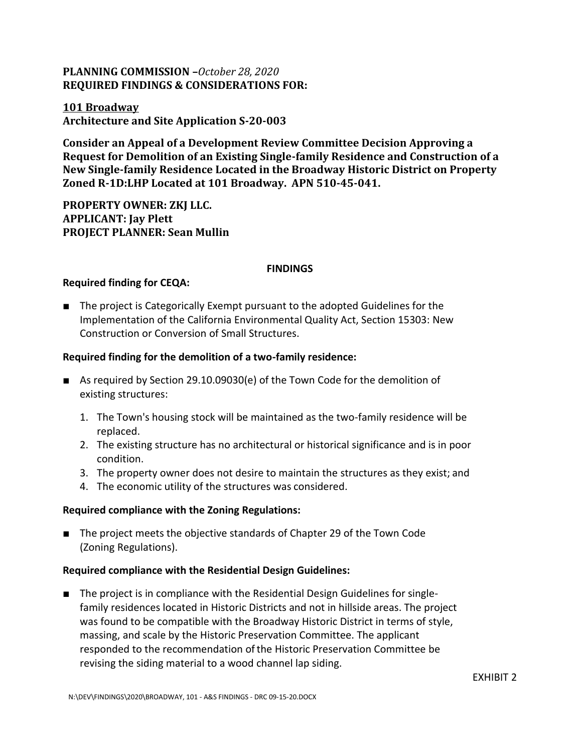# **PLANNING COMMISSION –***October 28, 2020* **REQUIRED FINDINGS & CONSIDERATIONS FOR:**

#### **101 Broadway Architecture and Site Application S-20-003**

**Consider an Appeal of a Development Review Committee Decision Approving a Request for Demolition of an Existing Single-family Residence and Construction of a New Single-family Residence Located in the Broadway Historic District on Property Zoned R-1D:LHP Located at 101 Broadway. APN 510-45-041.**

**PROPERTY OWNER: ZKJ LLC. APPLICANT: Jay Plett PROJECT PLANNER: Sean Mullin**

#### **FINDINGS**

## **Required finding for CEQA:**

■ The project is Categorically Exempt pursuant to the adopted Guidelines for the Implementation of the California Environmental Quality Act, Section 15303: New Construction or Conversion of Small Structures.

#### **Required finding for the demolition of a two-family residence:**

- As required by Section 29.10.09030(e) of the Town Code for the demolition of existing structures:
	- 1. The Town's housing stock will be maintained as the two-family residence will be replaced.
	- 2. The existing structure has no architectural or historical significance and is in poor condition.
	- 3. The property owner does not desire to maintain the structures as they exist; and
	- 4. The economic utility of the structures was considered.

## **Required compliance with the Zoning Regulations:**

■ The project meets the objective standards of Chapter 29 of the Town Code (Zoning Regulations).

## **Required compliance with the Residential Design Guidelines:**

■ The project is in compliance with the Residential Design Guidelines for singlefamily residences located in Historic Districts and not in hillside areas. The project was found to be compatible with the Broadway Historic District in terms of style, massing, and scale by the Historic Preservation Committee. The applicant responded to the recommendation ofthe Historic Preservation Committee be revising the siding material to a wood channel lap siding.